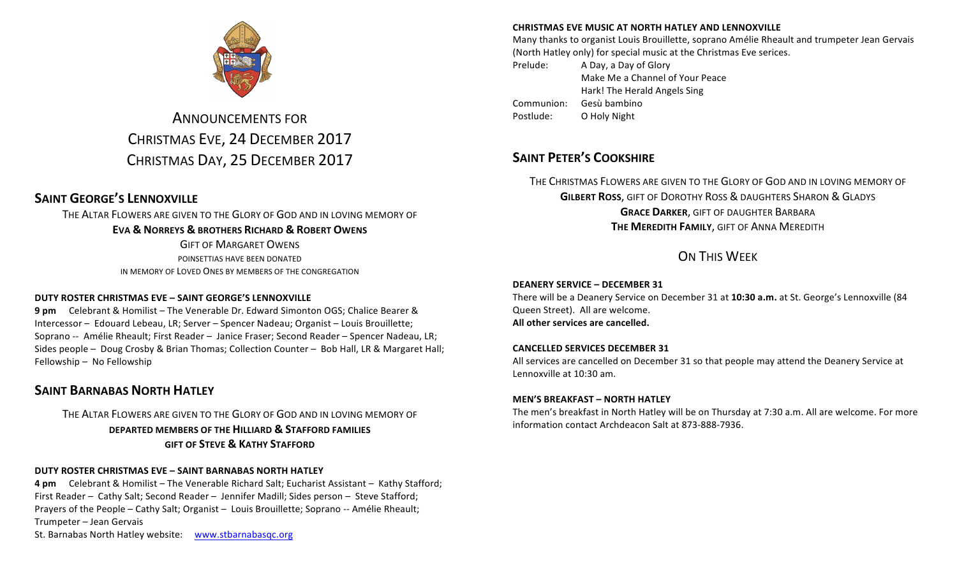

# **ANNOUNCEMENTS FOR** CHRISTMAS EVE, 24 DECEMBER 2017 CHRISTMAS DAY, 25 DECEMBER 2017

# **SAINT GEORGE'S LENNOXVILLE**

THE ALTAR FLOWERS ARE GIVEN TO THE GLORY OF GOD AND IN LOVING MEMORY OF **EVA & NORREYS & BROTHERS RICHARD & ROBERT OWENS GIFT OF MARGARET OWENS** POINSETTIAS HAVE BEEN DONATED

IN MEMORY OF LOVED ONES BY MEMBERS OF THE CONGREGATION

#### **DUTY ROSTER CHRISTMAS EVE – SAINT GEORGE'S LENNOXVILLE**

**9 pm** Celebrant & Homilist – The Venerable Dr. Edward Simonton OGS; Chalice Bearer & Intercessor - Edouard Lebeau, LR; Server - Spencer Nadeau; Organist - Louis Brouillette; Soprano -- Amélie Rheault; First Reader - Janice Fraser; Second Reader - Spencer Nadeau, LR; Sides people - Doug Crosby & Brian Thomas; Collection Counter - Bob Hall, LR & Margaret Hall; Fellowship - No Fellowship

## **SAINT BARNABAS NORTH HATLEY**

### THE ALTAR FLOWERS ARE GIVEN TO THE GLORY OF GOD AND IN LOVING MEMORY OF **DEPARTED MEMBERS OF THE HILLIARD & STAFFORD FAMILIES GIFT OF STEVE & KATHY STAFFORD**

#### **DUTY ROSTER CHRISTMAS EVE – SAINT BARNABAS NORTH HATLEY**

**4 pm** Celebrant & Homilist – The Venerable Richard Salt; Eucharist Assistant – Kathy Stafford; First Reader - Cathy Salt; Second Reader - Jennifer Madill; Sides person - Steve Stafford; Prayers of the People - Cathy Salt; Organist - Louis Brouillette; Soprano -- Amélie Rheault; Trumpeter – Jean Gervais St. Barnabas North Hatley website: www.stbarnabasqc.org

#### **CHRISTMAS EVE MUSIC AT NORTH HATLEY AND LENNOXVILLE**

Many thanks to organist Louis Brouillette, soprano Amélie Rheault and trumpeter Jean Gervais (North Hatley only) for special music at the Christmas Eve serices.

Prelude: A Day, a Day of Glory Make Me a Channel of Your Peace Hark! The Herald Angels Sing Communion: Gesù bambino Postlude: O Holy Night

## **SAINT PETER'S COOKSHIRE**

THE CHRISTMAS FLOWERS ARE GIVEN TO THE GLORY OF GOD AND IN LOVING MEMORY OF **GILBERT ROSS, GIFT OF DOROTHY ROSS & DAUGHTERS SHARON & GLADYS GRACE DARKER, GIFT OF DAUGHTER BARBARA THE MEREDITH FAMILY, GIFT OF ANNA MEREDITH** 

# **ON THIS WEEK**

#### **DEANERY SERVICE – DECEMBER 31**

There will be a Deanery Service on December 31 at 10:30 a.m. at St. George's Lennoxville (84 Queen Street). All are welcome. All other services are cancelled.

#### **CANCELLED SERVICES DECEMBER 31**

All services are cancelled on December 31 so that people may attend the Deanery Service at Lennoxville at 10:30 am.

#### **MEN'S BREAKFAST – NORTH HATLEY**

The men's breakfast in North Hatley will be on Thursday at 7:30 a.m. All are welcome. For more information contact Archdeacon Salt at 873-888-7936.